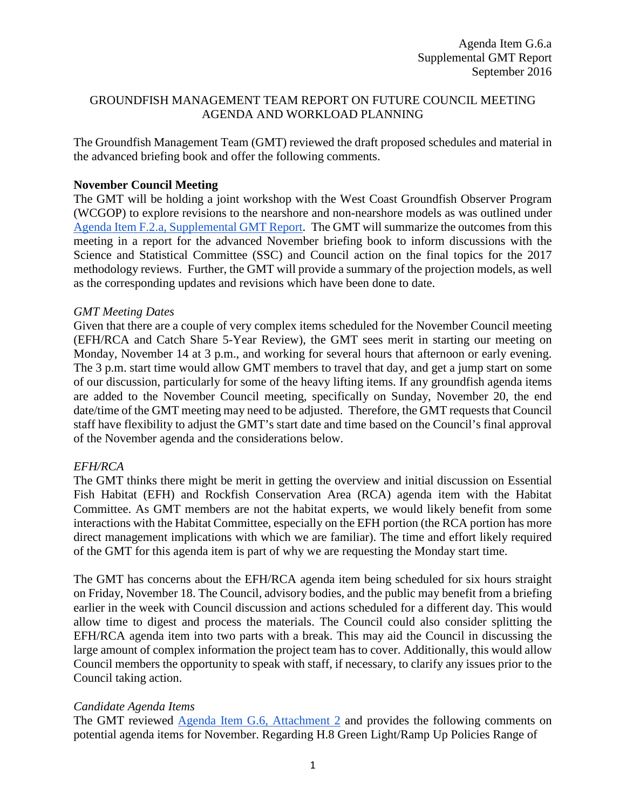#### GROUNDFISH MANAGEMENT TEAM REPORT ON FUTURE COUNCIL MEETING AGENDA AND WORKLOAD PLANNING

The Groundfish Management Team (GMT) reviewed the draft proposed schedules and material in the advanced briefing book and offer the following comments.

#### **November Council Meeting**

The GMT will be holding a joint workshop with the West Coast Groundfish Observer Program (WCGOP) to explore revisions to the nearshore and non-nearshore models as was outlined under Agenda Item F.2.a, [Supplemental GMT Report.](http://www.pcouncil.org/wp-content/uploads/2016/09/F2a_Sup_GMT_Rpt_MethRvw_SEPT2016BB.pdf) The GMT will summarize the outcomes from this meeting in a report for the advanced November briefing book to inform discussions with the Science and Statistical Committee (SSC) and Council action on the final topics for the 2017 methodology reviews. Further, the GMT will provide a summary of the projection models, as well as the corresponding updates and revisions which have been done to date.

#### *GMT Meeting Dates*

Given that there are a couple of very complex items scheduled for the November Council meeting (EFH/RCA and Catch Share 5-Year Review), the GMT sees merit in starting our meeting on Monday, November 14 at 3 p.m., and working for several hours that afternoon or early evening. The 3 p.m. start time would allow GMT members to travel that day, and get a jump start on some of our discussion, particularly for some of the heavy lifting items. If any groundfish agenda items are added to the November Council meeting, specifically on Sunday, November 20, the end date/time of the GMT meeting may need to be adjusted. Therefore, the GMT requests that Council staff have flexibility to adjust the GMT's start date and time based on the Council's final approval of the November agenda and the considerations below.

# *EFH/RCA*

The GMT thinks there might be merit in getting the overview and initial discussion on Essential Fish Habitat (EFH) and Rockfish Conservation Area (RCA) agenda item with the Habitat Committee. As GMT members are not the habitat experts, we would likely benefit from some interactions with the Habitat Committee, especially on the EFH portion (the RCA portion has more direct management implications with which we are familiar). The time and effort likely required of the GMT for this agenda item is part of why we are requesting the Monday start time.

The GMT has concerns about the EFH/RCA agenda item being scheduled for six hours straight on Friday, November 18. The Council, advisory bodies, and the public may benefit from a briefing earlier in the week with Council discussion and actions scheduled for a different day. This would allow time to digest and process the materials. The Council could also consider splitting the EFH/RCA agenda item into two parts with a break. This may aid the Council in discussing the large amount of complex information the project team has to cover. Additionally, this would allow Council members the opportunity to speak with staff, if necessary, to clarify any issues prior to the Council taking action.

# *Candidate Agenda Items*

The GMT reviewed [Agenda Item G.6,](http://www.pcouncil.org/wp-content/uploads/2016/08/G6_Att2_Nov16QR_DRAFT_SEPT2016BB.pdf) Attachment 2 and provides the following comments on potential agenda items for November. Regarding H.8 Green Light/Ramp Up Policies Range of